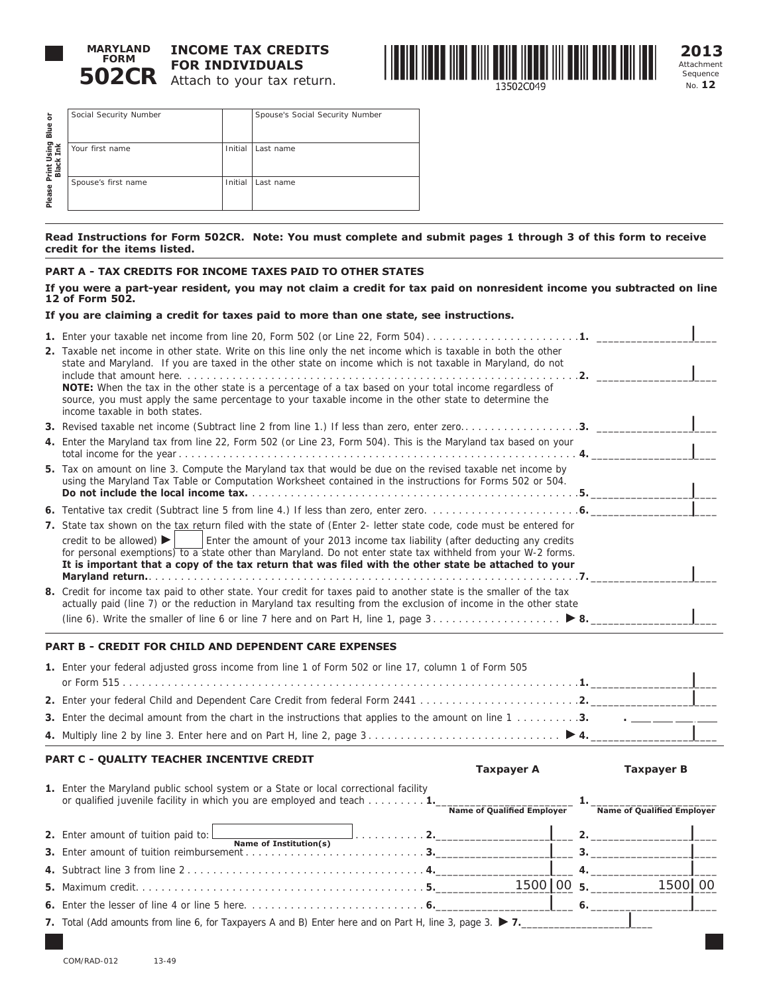

# **502CR** Attach to your tax return. **INCOME TAX CREDITS FOR INDIVIDUALS**



**2013** Attachment Sequence No. **12**

| ă<br>Blue                   | Social Security Number |         | Spouse's Social Security Number |
|-----------------------------|------------------------|---------|---------------------------------|
| sing<br>Ink<br>Print<br>Bla | Your first name        | Initial | Last name                       |
| Please                      | Spouse's first name    | Initial | Last name                       |
|                             |                        |         |                                 |

**Read Instructions for Form 502CR. Note: You must complete and submit pages 1 through 3 of this form to receive credit for the items listed.** 

# **PART A - TAX CREDITS FOR INCOME TAXES PAID TO OTHER STATES**

**If you were a part-year resident, you may not claim a credit for tax paid on nonresident income you subtracted on line 12 of Form 502.** 

# **If you are claiming a credit for taxes paid to more than one state, see instructions.**

| 1. Enter your taxable net income from line 20, Form 502 (or Line 22, Form 504)1.                                                                                                                                                                                                                                                                                                                                                                                                 |
|----------------------------------------------------------------------------------------------------------------------------------------------------------------------------------------------------------------------------------------------------------------------------------------------------------------------------------------------------------------------------------------------------------------------------------------------------------------------------------|
| 2. Taxable net income in other state. Write on this line only the net income which is taxable in both the other<br>state and Maryland. If you are taxed in the other state on income which is not taxable in Maryland, do not                                                                                                                                                                                                                                                    |
| <b>NOTE:</b> When the tax in the other state is a percentage of a tax based on your total income regardless of<br>source, you must apply the same percentage to your taxable income in the other state to determine the<br>income taxable in both states.                                                                                                                                                                                                                        |
|                                                                                                                                                                                                                                                                                                                                                                                                                                                                                  |
| 4. Enter the Maryland tax from line 22, Form 502 (or Line 23, Form 504). This is the Maryland tax based on your                                                                                                                                                                                                                                                                                                                                                                  |
| 5. Tax on amount on line 3. Compute the Maryland tax that would be due on the revised taxable net income by<br>using the Maryland Tax Table or Computation Worksheet contained in the instructions for Forms 502 or 504.                                                                                                                                                                                                                                                         |
|                                                                                                                                                                                                                                                                                                                                                                                                                                                                                  |
| 7. State tax shown on the tax return filed with the state of (Enter 2- letter state code, code must be entered for<br>credit to be allowed) $\blacktriangleright$  <br>Enter the amount of your 2013 income tax liability (after deducting any credits<br>for personal exemptions) to a state other than Maryland. Do not enter state tax withheld from your W-2 forms.<br>It is important that a copy of the tax return that was filed with the other state be attached to your |
|                                                                                                                                                                                                                                                                                                                                                                                                                                                                                  |
| 8. Credit for income tax paid to other state. Your credit for taxes paid to another state is the smaller of the tax<br>actually paid (line 7) or the reduction in Maryland tax resulting from the exclusion of income in the other state                                                                                                                                                                                                                                         |
| (line 6). Write the smaller of line 6 or line 7 here and on Part H, line 1, page 3                                                                                                                                                                                                                                                                                                                                                                                               |

# **PART B - CREDIT FOR CHILD AND DEPENDENT CARE EXPENSES**

| 1. Enter your federal adjusted gross income from line 1 of Form 502 or line 17, column 1 of Form 505                                                                         |
|------------------------------------------------------------------------------------------------------------------------------------------------------------------------------|
|                                                                                                                                                                              |
|                                                                                                                                                                              |
| <b>3.</b> Enter the decimal amount from the chart in the instructions that applies to the amount on line 1 $\ldots$ <b>3.</b> $\ldots$ <b>3.</b> $\ldots$ <b>1.</b> $\ldots$ |
|                                                                                                                                                                              |

# **PART C - QUALITY TEACHER INCENTIVE CREDIT**

|                                                                                                                                                                                | Taxpayer A                        |    | <b>Taxpayer B</b>                 |  |
|--------------------------------------------------------------------------------------------------------------------------------------------------------------------------------|-----------------------------------|----|-----------------------------------|--|
| 1. Enter the Maryland public school system or a State or local correctional facility<br>or qualified juvenile facility in which you are employed and teach $\dots \dots \dots$ | <b>Name of Qualified Employer</b> |    | <b>Name of Qualified Employer</b> |  |
| 2. Enter amount of tuition paid to: $\boxed{\phantom{a}}$                                                                                                                      |                                   |    | 2.                                |  |
| Name of Institution(s)                                                                                                                                                         |                                   |    |                                   |  |
|                                                                                                                                                                                |                                   |    |                                   |  |
|                                                                                                                                                                                | $1500 \mid 00 \mid 5$             |    | 1500 00                           |  |
|                                                                                                                                                                                |                                   | 6. |                                   |  |
| 7. Total (Add amounts from line 6, for Taxpayers A and B) Enter here and on Part H, line 3, page 3. $\blacktriangleright$ 7.                                                   |                                   |    |                                   |  |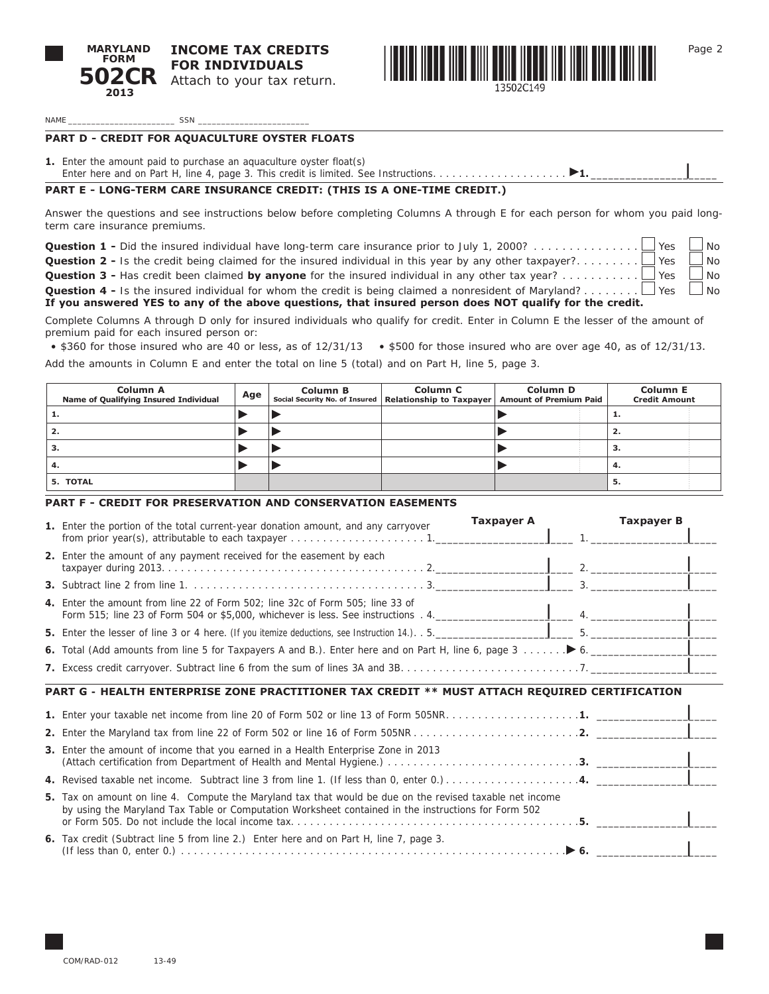



Page 2

**|**

NAME \_\_\_\_\_\_\_\_\_\_\_\_\_\_\_\_\_\_\_\_\_\_\_ SSN \_\_\_\_\_\_\_\_\_\_\_\_\_\_\_\_\_\_\_\_\_\_\_\_

# **PART D - CREDIT FOR AQUACULTURE OYSTER FLOATS**

**1.** Enter the amount paid to purchase an aquaculture oyster float(s)

# **PART E - LONG-TERM CARE INSURANCE CREDIT: (THIS IS A ONE-TIME CREDIT.)**

Answer the questions and see instructions below before completing Columns A through E for each person for whom you paid longterm care insurance premiums.

**Question 1 -** Did the insured individual have long-term care insurance prior to July 1, 2000?. . . Yes No

**Question 2 -** Is the credit being claimed for the insured individual in this year by any other taxpayer?. . . Yes No

**Question 3 -** Has credit been claimed **by anyone** for the insured individual in any other tax year?. . . Yes No

**Question 4 -** Is the insured individual for whom the credit is being claimed a nonresident of Maryland?. . . Yes No **If you answered YES to any of the above questions, that insured person does NOT qualify for the credit.**

Complete Columns A through D only for insured individuals who qualify for credit. Enter in Column E the lesser of the amount of premium paid for each insured person or:

• \$360 for those insured who are 40 or less, as of 12/31/13 • \$500 for those insured who are over age 40, as of 12/31/13.

Add the amounts in Column E and enter the total on line 5 (total) and on Part H, line 5, page 3.

| <b>Column A</b><br>Name of Qualifying Insured Individual | Age | <b>Column B</b> | <b>Column C</b><br>Social Security No. of Insured   Relationship to Taxpayer | <b>Column D</b><br><b>Amount of Premium Paid</b> | <b>Column E</b><br><b>Credit Amount</b> |
|----------------------------------------------------------|-----|-----------------|------------------------------------------------------------------------------|--------------------------------------------------|-----------------------------------------|
|                                                          |     |                 |                                                                              |                                                  |                                         |
| ۷.                                                       |     |                 |                                                                              |                                                  | 2.                                      |
| .د                                                       |     |                 |                                                                              |                                                  | э.                                      |
|                                                          |     |                 |                                                                              |                                                  | 4.                                      |
| 5. TOTAL                                                 |     |                 |                                                                              |                                                  | ь                                       |

# **PART F - CREDIT FOR PRESERVATION AND CONSERVATION EASEMENTS**

| Taxpayer A<br><b>Taxpayer B</b><br>1. Enter the portion of the total current-year donation amount, and any carryover                                                                                            |
|-----------------------------------------------------------------------------------------------------------------------------------------------------------------------------------------------------------------|
| 2. Enter the amount of any payment received for the easement by each                                                                                                                                            |
|                                                                                                                                                                                                                 |
| 4. Enter the amount from line 22 of Form 502; line 32c of Form 505; line 33 of                                                                                                                                  |
|                                                                                                                                                                                                                 |
|                                                                                                                                                                                                                 |
|                                                                                                                                                                                                                 |
| PART G - HEALTH ENTERPRISE ZONE PRACTITIONER TAX CREDIT ** MUST ATTACH REQUIRED CERTIFICATION                                                                                                                   |
|                                                                                                                                                                                                                 |
|                                                                                                                                                                                                                 |
| <b>3.</b> Enter the amount of income that you earned in a Health Enterprise Zone in 2013                                                                                                                        |
|                                                                                                                                                                                                                 |
| 5. Tax on amount on line 4. Compute the Maryland tax that would be due on the revised taxable net income<br>by using the Maryland Tax Table or Computation Worksheet contained in the instructions for Form 502 |
| 6. Tax credit (Subtract line 5 from line 2.) Enter here and on Part H, line 7, page 3.                                                                                                                          |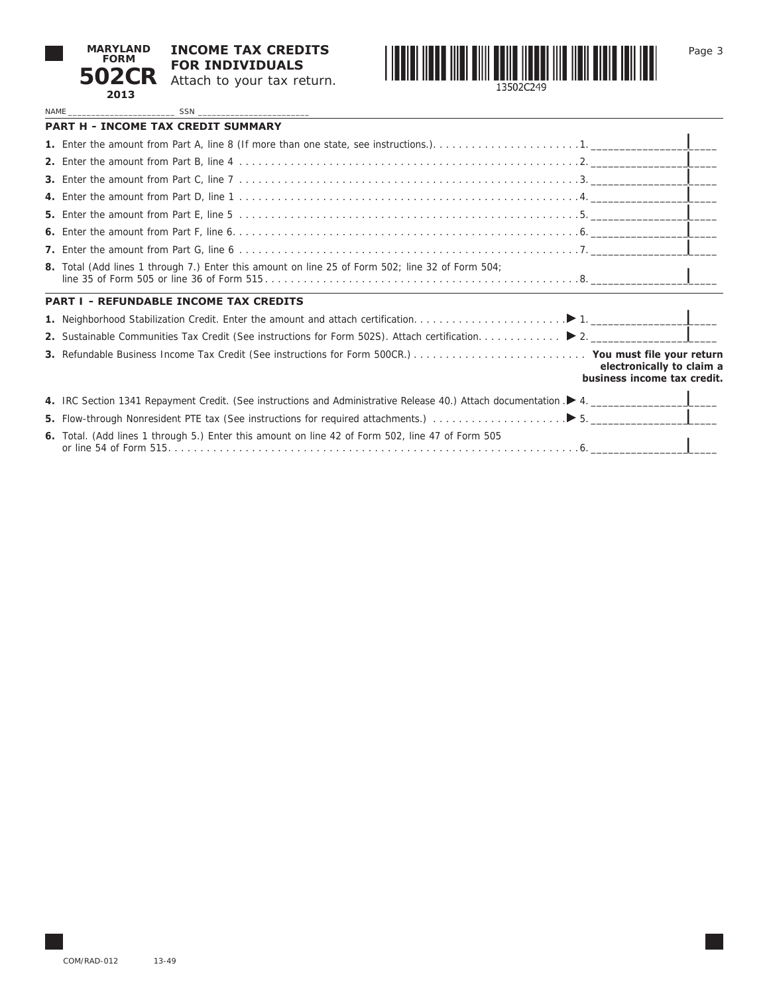

**502CR** Attach to your tax return. **INCOME TAX CREDITS FOR INDIVIDUALS**



Page 3

NAME \_\_\_\_\_\_\_\_\_\_\_\_\_\_\_\_\_\_\_\_\_\_\_ SSN \_\_\_\_\_\_\_\_\_\_\_\_\_\_\_\_\_\_\_\_\_\_\_\_

| <b>PART H - INCOME TAX CREDIT SUMMARY</b>                                                                                             |
|---------------------------------------------------------------------------------------------------------------------------------------|
|                                                                                                                                       |
|                                                                                                                                       |
|                                                                                                                                       |
|                                                                                                                                       |
|                                                                                                                                       |
|                                                                                                                                       |
|                                                                                                                                       |
| <b>8.</b> Total (Add lines 1 through 7.) Enter this amount on line 25 of Form 502; line 32 of Form 504;                               |
| <b>PART I - REFUNDABLE INCOME TAX CREDITS</b>                                                                                         |
|                                                                                                                                       |
|                                                                                                                                       |
| electronically to claim a<br>business income tax credit.                                                                              |
| 4. IRC Section 1341 Repayment Credit. (See instructions and Administrative Release 40.) Attach documentation $\blacktriangleright$ 4. |
|                                                                                                                                       |
| 6. Total. (Add lines 1 through 5.) Enter this amount on line 42 of Form 502, line 47 of Form 505                                      |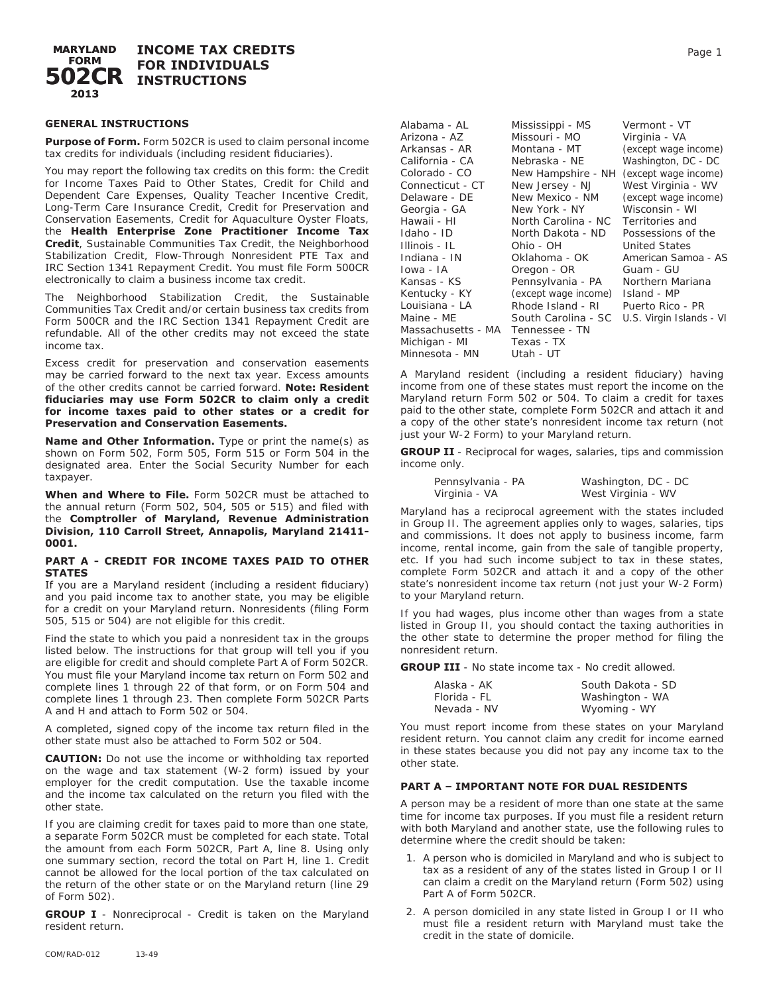

# **GENERAL INSTRUCTIONS**

**Purpose of Form.** Form 502CR is used to claim personal income tax credits for individuals (including resident fiduciaries).

You may report the following tax credits on this form: the Credit for Income Taxes Paid to Other States, Credit for Child and Dependent Care Expenses, Quality Teacher Incentive Credit, Long-Term Care Insurance Credit, Credit for Preservation and Conservation Easements, Credit for Aquaculture Oyster Floats, the **Health Enterprise Zone Practitioner Income Tax Credit**, Sustainable Communities Tax Credit, the Neighborhood Stabilization Credit, Flow-Through Nonresident PTE Tax and IRC Section 1341 Repayment Credit. You must file Form 500CR electronically to claim a business income tax credit.

The Neighborhood Stabilization Credit, the Sustainable Communities Tax Credit and/or certain business tax credits from Form 500CR and the IRC Section 1341 Repayment Credit are refundable. All of the other credits may not exceed the state income tax.

Excess credit for preservation and conservation easements may be carried forward to the next tax year. Excess amounts of the other credits cannot be carried forward. **Note: Resident fiduciaries may use Form 502CR to claim only a credit for income taxes paid to other states or a credit for Preservation and Conservation Easements.** 

**Name and Other Information.** Type or print the name(s) as shown on Form 502, Form 505, Form 515 or Form 504 in the designated area. Enter the Social Security Number for each taxpayer.

**When and Where to File.** Form 502CR must be attached to the annual return (Form 502, 504, 505 or 515) and filed with the **Comptroller of Maryland, Revenue Administration Division, 110 Carroll Street, Annapolis, Maryland 21411- 0001.**

#### **PART A - CREDIT FOR INCOME TAXES PAID TO OTHER STATES**

If you are a Maryland resident (including a resident fiduciary) and you paid income tax to another state, you may be eligible for a credit on your Maryland return. Nonresidents (filing Form 505, 515 or 504) are not eligible for this credit.

Find the state to which you paid a nonresident tax in the groups listed below. The instructions for that group will tell you if you are eligible for credit and should complete Part A of Form 502CR. You must file your Maryland income tax return on Form 502 and complete lines 1 through 22 of that form, or on Form 504 and complete lines 1 through 23. Then complete Form 502CR Parts A and H and attach to Form 502 or 504.

A completed, signed copy of the income tax return filed in the other state must also be attached to Form 502 or 504.

**CAUTION:** Do not use the income or withholding tax reported on the wage and tax statement (W-2 form) issued by your employer for the credit computation. Use the taxable income and the income tax calculated on the return you filed with the other state.

If you are claiming credit for taxes paid to more than one state, a separate Form 502CR must be completed for each state. Total the amount from each Form 502CR, Part A, line 8. Using only one summary section, record the total on Part H, line 1. Credit cannot be allowed for the local portion of the tax calculated on the return of the other state or on the Maryland return (line 29 of Form 502).

**GROUP I** - Nonreciprocal - Credit is taken on the Maryland resident return.

| Alabama - AL       | Mississippi - MS     | Vermont - VT             |
|--------------------|----------------------|--------------------------|
| Arizona - AZ       | Missouri - MO        | Virginia - VA            |
| Arkansas - AR      | Montana - MT         | (except wage income)     |
| California - CA    | Nebraska - NE        | Washington, DC - DC      |
| Colorado - CO      | New Hampshire - NH   | (except wage income)     |
| Connecticut - CT   | New Jersey - NJ      | West Virginia - WV       |
| Delaware - DE      | New Mexico - NM      | (except wage income)     |
| Georgia - GA       | New York - NY        | Wisconsin - WI           |
| Hawaii - HI        | North Carolina - NC  | Territories and          |
| Idaho - ID         | North Dakota - ND    | Possessions of the       |
| Illinois - IL      | Ohio - OH            | <b>United States</b>     |
| Indiana - IN       | Oklahoma - OK        | American Samoa - AS      |
| Iowa - IA          | Oregon - OR          | Guam - GU                |
| Kansas - KS        | Pennsylvania - PA    | Northern Mariana         |
| Kentucky - KY      | (except wage income) | Island - MP              |
| Louisiana - LA     | Rhode Island - RI    | Puerto Rico - PR         |
| Maine - ME         | South Carolina - SC  | U.S. Virgin Islands - VI |
| Massachusetts - MA | Tennessee - TN       |                          |
| Michigan - MI      | Texas - TX           |                          |
| Minnesota - MN     | Utah - UT            |                          |

A Maryland resident (including a resident fiduciary) having income from one of these states must report the income on the Maryland return Form 502 or 504. To claim a credit for taxes paid to the other state, complete Form 502CR and attach it and a copy of the other state's nonresident income tax return (not just your W-2 Form) to your Maryland return.

**GROUP II** - Reciprocal for wages, salaries, tips and commission income only.

| Pennsylvania - PA | Washington, DC - DC |
|-------------------|---------------------|
| Virginia - VA     | West Virginia - WV  |

Maryland has a reciprocal agreement with the states included in Group II. The agreement applies only to wages, salaries, tips and commissions. It does not apply to business income, farm income, rental income, gain from the sale of tangible property, etc. If you had such income subject to tax in these states, complete Form 502CR and attach it and a copy of the other state's nonresident income tax return (not just your W-2 Form) to your Maryland return.

If you had wages, plus income other than wages from a state listed in Group II, you should contact the taxing authorities in the other state to determine the proper method for filing the nonresident return.

**GROUP III** - No state income tax - No credit allowed.

| Alaska - AK  | South Dakota - SD |
|--------------|-------------------|
| Florida - FL | Washington - WA   |
| Nevada - NV  | Wyoming - WY      |

You must report income from these states on your Maryland resident return. You cannot claim any credit for income earned in these states because you did not pay any income tax to the other state.

# **PART A – IMPORTANT NOTE FOR DUAL RESIDENTS**

A person may be a resident of more than one state at the same time for income tax purposes. If you must file a resident return with both Maryland and another state, use the following rules to determine where the credit should be taken:

- 1. A person who is domiciled in Maryland and who is subject to tax as a resident of any of the states listed in Group I or II can claim a credit on the Maryland return (Form 502) using Part A of Form 502CR.
- 2. A person domiciled in any state listed in Group I or II who must file a resident return with Maryland must take the credit in the state of domicile.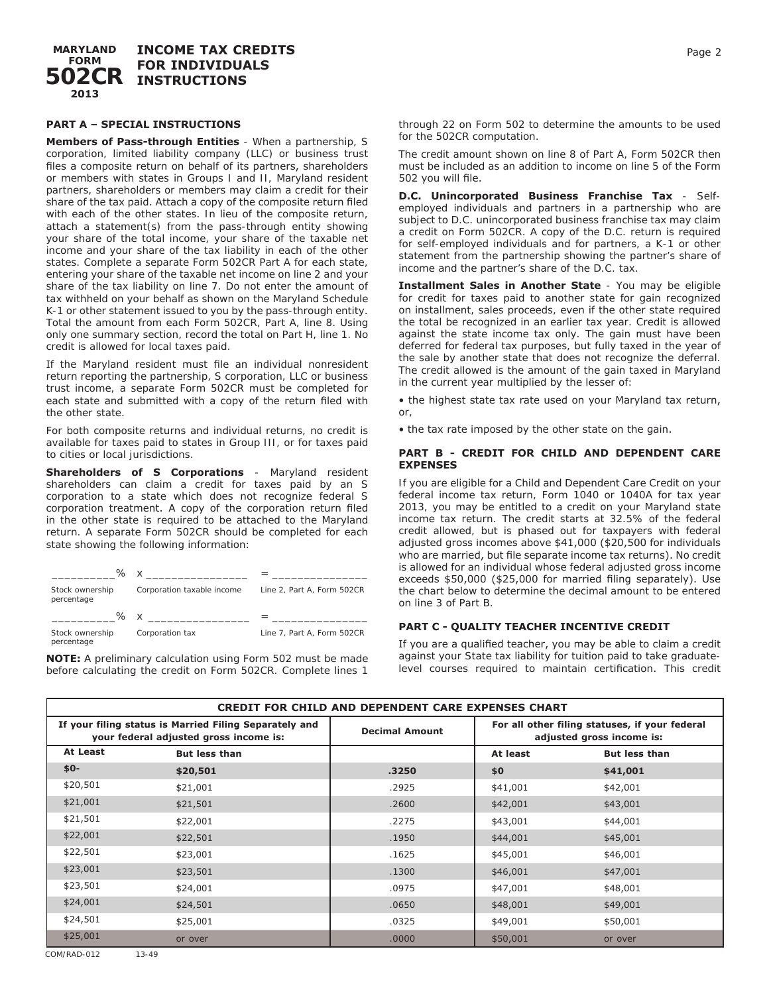**MARYLAND FORM 502CR INSTRUCTIONS INCOME TAX CREDITS FOR INDIVIDUALS 2013**

# **PART A – SPECIAL INSTRUCTIONS**

**Members of Pass-through Entities** - When a partnership, S corporation, limited liability company (LLC) or business trust files a composite return on behalf of its partners, shareholders or members with states in Groups I and II, Maryland resident partners, shareholders or members may claim a credit for their share of the tax paid. Attach a copy of the composite return filed with each of the other states. In lieu of the composite return, attach a statement(s) from the pass-through entity showing your share of the total income, your share of the taxable net income and your share of the tax liability in each of the other states. Complete a separate Form 502CR Part A for each state, entering your share of the taxable net income on line 2 and your share of the tax liability on line 7. Do not enter the amount of tax withheld on your behalf as shown on the Maryland Schedule K-1 or other statement issued to you by the pass-through entity. Total the amount from each Form 502CR, Part A, line 8. Using only one summary section, record the total on Part H, line 1. No credit is allowed for local taxes paid.

If the Maryland resident must file an individual nonresident return reporting the partnership, S corporation, LLC or business trust income, a separate Form 502CR must be completed for each state and submitted with a copy of the return filed with the other state.

For both composite returns and individual returns, no credit is available for taxes paid to states in Group III, or for taxes paid to cities or local jurisdictions.

**Shareholders of S Corporations** - Maryland resident shareholders can claim a credit for taxes paid by an S corporation to a state which does not recognize federal S corporation treatment. A copy of the corporation return filed in the other state is required to be attached to the Maryland return. A separate Form 502CR should be completed for each state showing the following information:

| ℅                             |                            |                            |
|-------------------------------|----------------------------|----------------------------|
| Stock ownership<br>percentage | Corporation taxable income | Line 2, Part A, Form 502CR |
|                               |                            |                            |
| % x                           |                            |                            |

**NOTE:** A preliminary calculation using Form 502 must be made before calculating the credit on Form 502CR. Complete lines 1

through 22 on Form 502 to determine the amounts to be used for the 502CR computation.

The credit amount shown on line 8 of Part A, Form 502CR then must be included as an addition to income on line 5 of the Form 502 you will file.

**D.C. Unincorporated Business Franchise Tax** - Selfemployed individuals and partners in a partnership who are subject to D.C. unincorporated business franchise tax may claim a credit on Form 502CR. A copy of the D.C. return is required for self-employed individuals and for partners, a K-1 or other statement from the partnership showing the partner's share of income and the partner's share of the D.C. tax.

**Installment Sales in Another State** - You may be eligible for credit for taxes paid to another state for gain recognized on installment, sales proceeds, even if the other state required the total be recognized in an earlier tax year. Credit is allowed against the state income tax only. The gain must have been deferred for federal tax purposes, but fully taxed in the year of the sale by another state that does not recognize the deferral. The credit allowed is the amount of the gain taxed in Maryland in the current year multiplied by the lesser of:

• the highest state tax rate used on your Maryland tax return, or,

• the tax rate imposed by the other state on the gain.

#### **PART B - CREDIT FOR CHILD AND DEPENDENT CARE EXPENSES**

If you are eligible for a Child and Dependent Care Credit on your federal income tax return, Form 1040 or 1040A for tax year 2013, you may be entitled to a credit on your Maryland state income tax return. The credit starts at 32.5% of the federal credit allowed, but is phased out for taxpayers with federal adjusted gross incomes above \$41,000 (\$20,500 for individuals who are married, but file separate income tax returns). No credit is allowed for an individual whose federal adjusted gross income exceeds \$50,000 (\$25,000 for married filing separately). Use the chart below to determine the decimal amount to be entered on line 3 of Part B.

# **PART C - QUALITY TEACHER INCENTIVE CREDIT**

If you are a qualified teacher, you may be able to claim a credit against your State tax liability for tuition paid to take graduatelevel courses required to maintain certification. This credit

| <b>CREDIT FOR CHILD AND DEPENDENT CARE EXPENSES CHART</b>                                        |                      |                       |                                                                             |                      |
|--------------------------------------------------------------------------------------------------|----------------------|-----------------------|-----------------------------------------------------------------------------|----------------------|
| If your filing status is Married Filing Separately and<br>your federal adjusted gross income is: |                      | <b>Decimal Amount</b> | For all other filing statuses, if your federal<br>adjusted gross income is: |                      |
| At Least                                                                                         | <b>But less than</b> |                       | At least                                                                    | <b>But less than</b> |
| $$0-$                                                                                            | \$20,501             | .3250                 | \$0                                                                         | \$41,001             |
| \$20,501                                                                                         | \$21,001             | .2925                 | \$41,001                                                                    | \$42,001             |
| \$21,001                                                                                         | \$21,501             | .2600                 | \$42,001                                                                    | \$43,001             |
| \$21,501                                                                                         | \$22,001             | .2275                 | \$43,001                                                                    | \$44,001             |
| \$22,001                                                                                         | \$22,501             | .1950                 | \$44,001                                                                    | \$45,001             |
| \$22,501                                                                                         | \$23,001             | .1625                 | \$45,001                                                                    | \$46,001             |
| \$23,001                                                                                         | \$23,501             | .1300                 | \$46,001                                                                    | \$47,001             |
| \$23,501                                                                                         | \$24,001             | .0975                 | \$47,001                                                                    | \$48,001             |
| \$24,001                                                                                         | \$24,501             | .0650                 | \$48,001                                                                    | \$49,001             |
| \$24,501                                                                                         | \$25,001             | .0325                 | \$49,001                                                                    | \$50,001             |
| \$25,001                                                                                         | or over              | .0000                 | \$50,001                                                                    | or over              |
| COM/RAD-012                                                                                      | $13 - 49$            |                       |                                                                             |                      |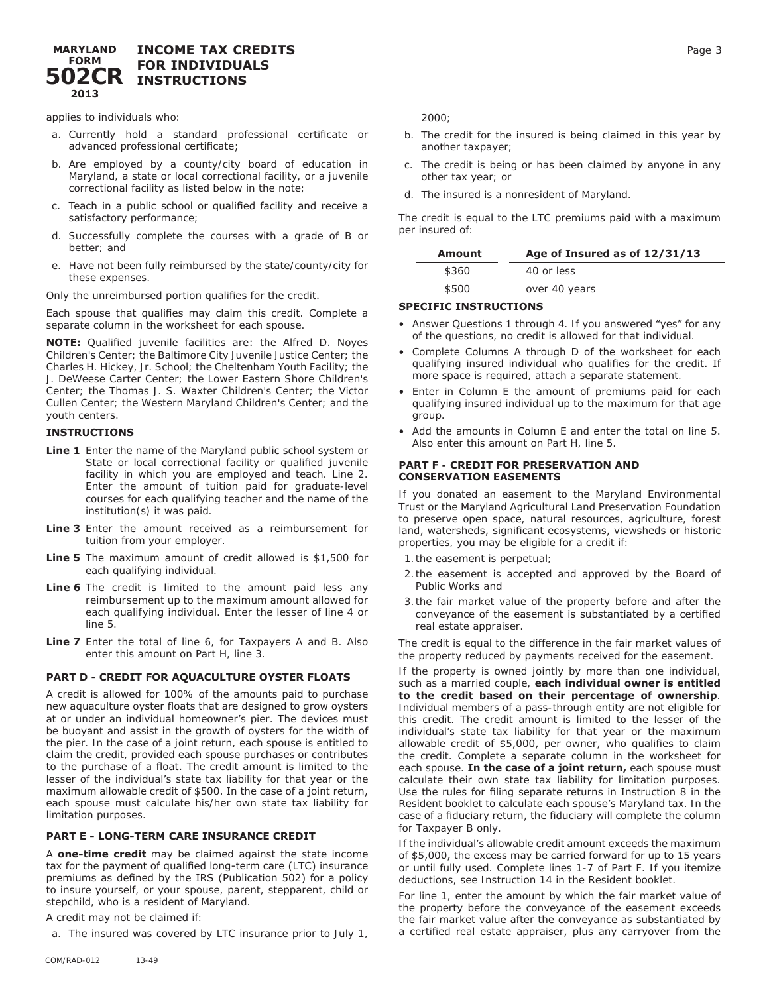#### **MARYLAND FORM 502CR INCOME TAX CREDITS FOR INDIVIDUALS INSTRUCTIONS 2013**

applies to individuals who:

- a. Currently hold a standard professional certificate or advanced professional certificate;
- b. Are employed by a county/city board of education in Maryland, a state or local correctional facility, or a juvenile correctional facility as listed below in the note;
- c. Teach in a public school or qualified facility and receive a satisfactory performance;
- d. Successfully complete the courses with a grade of B or better; and
- e. Have not been fully reimbursed by the state/county/city for these expenses.

Only the unreimbursed portion qualifies for the credit.

Each spouse that qualifies may claim this credit. Complete a separate column in the worksheet for each spouse.

**NOTE:** Qualified juvenile facilities are: the Alfred D. Noyes Children's Center; the Baltimore City Juvenile Justice Center; the Charles H. Hickey, Jr. School; the Cheltenham Youth Facility; the J. DeWeese Carter Center; the Lower Eastern Shore Children's Center; the Thomas J. S. Waxter Children's Center; the Victor Cullen Center; the Western Maryland Children's Center; and the youth centers.

#### **INSTRUCTIONS**

- **Line 1** Enter the name of the Maryland public school system or State or local correctional facility or qualified juvenile facility in which you are employed and teach. Line 2. Enter the amount of tuition paid for graduate-level courses for each qualifying teacher and the name of the institution(s) it was paid.
- **Line 3** Enter the amount received as a reimbursement for tuition from your employer.
- **Line 5** The maximum amount of credit allowed is \$1,500 for each qualifying individual.
- Line 6 The credit is limited to the amount paid less any reimbursement up to the maximum amount allowed for each qualifying individual. Enter the lesser of line 4 or line 5.
- **Line 7** Enter the total of line 6, for Taxpayers A and B. Also enter this amount on Part H, line 3.

# **PART D - CREDIT FOR AQUACULTURE OYSTER FLOATS**

A credit is allowed for 100% of the amounts paid to purchase new aquaculture oyster floats that are designed to grow oysters at or under an individual homeowner's pier. The devices must be buoyant and assist in the growth of oysters for the width of the pier. In the case of a joint return, each spouse is entitled to claim the credit, provided each spouse purchases or contributes to the purchase of a float. The credit amount is limited to the lesser of the individual's state tax liability for that year or the maximum allowable credit of \$500. In the case of a joint return, each spouse must calculate his/her own state tax liability for limitation purposes.

#### **PART E - LONG-TERM CARE INSURANCE CREDIT**

A **one-time credit** may be claimed against the state income tax for the payment of qualified long-term care (LTC) insurance premiums as defined by the IRS (Publication 502) for a policy to insure yourself, or your spouse, parent, stepparent, child or stepchild, who is a resident of Maryland.

A credit may not be claimed if:

a. The insured was covered by LTC insurance prior to July 1,

2000;

- b. The credit for the insured is being claimed in this year by another taxpayer;
- c. The credit is being or has been claimed by anyone in any other tax year; or
- d. The insured is a nonresident of Maryland.

The credit is equal to the LTC premiums paid with a maximum per insured of:

| Amount | Age of Insured as of 12/31/13 |
|--------|-------------------------------|
| \$360  | 40 or less                    |
| \$500  | over 40 years                 |

#### **SPECIFIC INSTRUCTIONS**

- Answer Questions 1 through 4. If you answered "yes" for any of the questions, no credit is allowed for that individual.
- Complete Columns A through D of the worksheet for each qualifying insured individual who qualifies for the credit. If more space is required, attach a separate statement.
- Enter in Column E the amount of premiums paid for each qualifying insured individual up to the maximum for that age group.
- Add the amounts in Column E and enter the total on line 5. Also enter this amount on Part H, line 5.

# **PART F - CREDIT FOR PRESERVATION AND CONSERVATION EASEMENTS**

If you donated an easement to the Maryland Environmental Trust or the Maryland Agricultural Land Preservation Foundation to preserve open space, natural resources, agriculture, forest land, watersheds, significant ecosystems, viewsheds or historic properties, you may be eligible for a credit if:

- 1.the easement is perpetual;
- 2.the easement is accepted and approved by the Board of Public Works and
- 3.the fair market value of the property before and after the conveyance of the easement is substantiated by a certified real estate appraiser.

The credit is equal to the difference in the fair market values of the property reduced by payments received for the easement.

If the property is owned jointly by more than one individual, such as a married couple, **each individual owner is entitled to the credit based on their percentage of ownership**. Individual members of a pass-through entity are not eligible for this credit. The credit amount is limited to the lesser of the individual's state tax liability for that year or the maximum allowable credit of \$5,000, per owner, who qualifies to claim the credit. Complete a separate column in the worksheet for each spouse. **In the case of a joint return,** each spouse must calculate their own state tax liability for limitation purposes. Use the rules for filing separate returns in Instruction 8 in the Resident booklet to calculate each spouse's Maryland tax. In the case of a fiduciary return, the fiduciary will complete the column for Taxpayer B only.

If the individual's allowable credit amount exceeds the maximum of \$5,000, the excess may be carried forward for up to 15 years or until fully used. Complete lines 1-7 of Part F. If you itemize deductions, see Instruction 14 in the Resident booklet.

For line 1, enter the amount by which the fair market value of the property before the conveyance of the easement exceeds the fair market value after the conveyance as substantiated by a certified real estate appraiser, plus any carryover from the